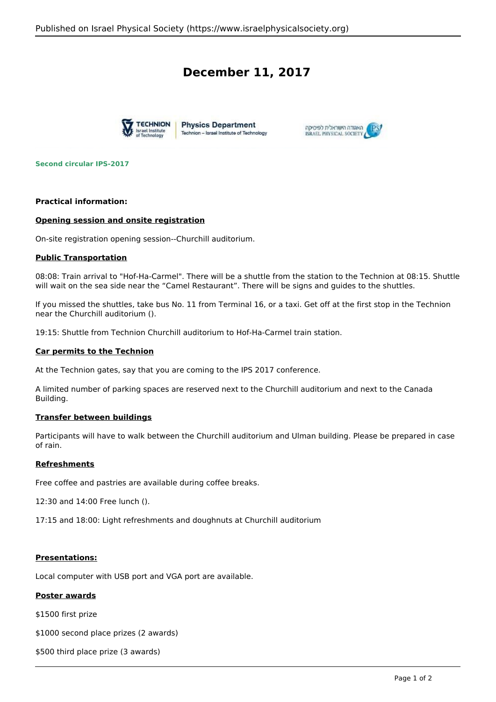# **December 11, 2017**





**Second circular IPS-2017**

## **Practical information:**

## **Opening session and onsite registration**

On-site registration opening session--Churchill auditorium.

## **Public Transportation**

08:08: Train arrival to "Hof-Ha-Carmel". There will be a shuttle from the station to the Technion at 08:15. Shuttle will wait on the sea side near the "Camel Restaurant". There will be signs and guides to the shuttles.

If you missed the shuttles, take bus No. 11 from Terminal 16, or a taxi. Get off at the first stop in the Technion near the Churchill auditorium ().

19:15: Shuttle from Technion Churchill auditorium to Hof-Ha-Carmel train station.

#### **Car permits to the Technion**

At the Technion gates, say that you are coming to the IPS 2017 conference.

A limited number of parking spaces are reserved next to the Churchill auditorium and next to the Canada Building.

## **Transfer between buildings**

Participants will have to walk between the Churchill auditorium and Ulman building. Please be prepared in case of rain.

# **Refreshments**

Free coffee and pastries are available during coffee breaks.

12:30 and 14:00 Free lunch ().

17:15 and 18:00: Light refreshments and doughnuts at Churchill auditorium

# **Presentations:**

Local computer with USB port and VGA port are available.

# **Poster awards**

\$1500 first prize

\$1000 second place prizes (2 awards)

\$500 third place prize (3 awards)